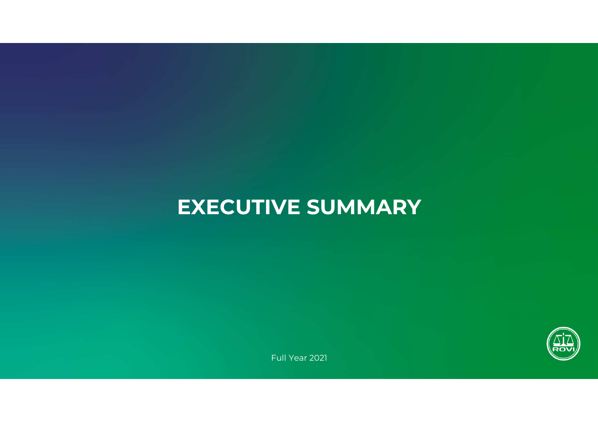# **EXECUTIVE SUMMARY**



Full Year <sup>2021</sup>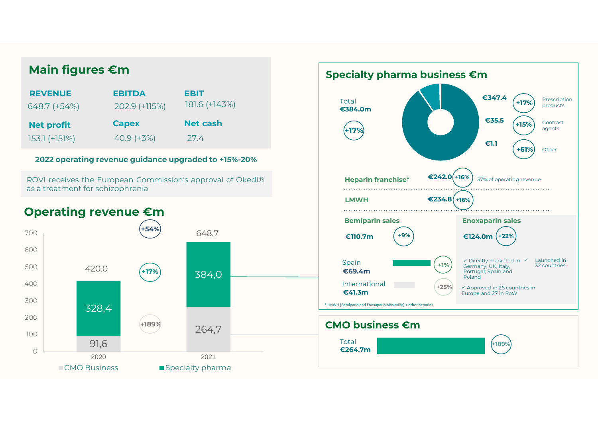| <b>REVENUE</b>    | <b>EBITDA</b> | EBIT            |
|-------------------|---------------|-----------------|
| 648.7 (+54%)      | 202.9 (+115%) | 181.6 (+143%)   |
|                   |               |                 |
| <b>Net profit</b> | <b>Capex</b>  | <b>Net cash</b> |

## **2022 operating revenue guidance upgraded to +15%-20%**

ROVI receives the European Commission's approval of Okedi®as <sup>a</sup> treatment for schizophrenia